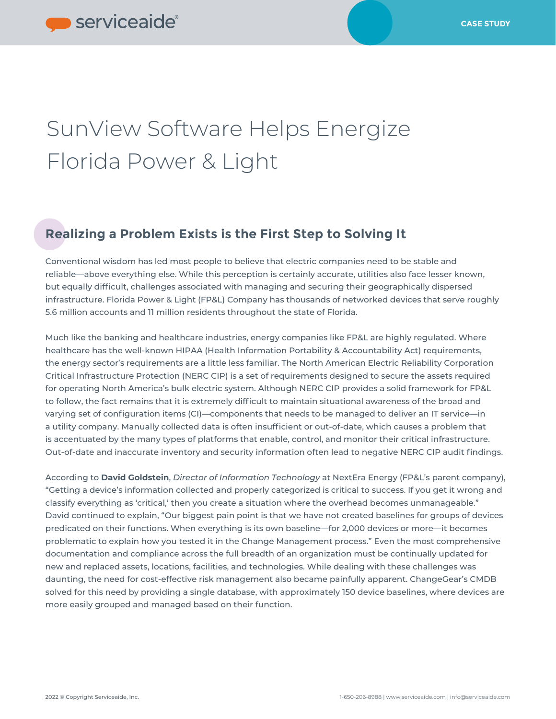# SunView Software Helps Energize Florida Power & Light

### **Realizing a Problem Exists is the First Step to Solving It**

Conventional wisdom has led most people to believe that electric companies need to be stable and reliable—above everything else. While this perception is certainly accurate, utilities also face lesser known, but equally difficult, challenges associated with managing and securing their geographically dispersed infrastructure. Florida Power & Light (FP&L) Company has thousands of networked devices that serve roughly 5.6 million accounts and 11 million residents throughout the state of Florida.

Much like the banking and healthcare industries, energy companies like FP&L are highly regulated. Where healthcare has the well-known HIPAA (Health Information Portability & Accountability Act) requirements, the energy sector's requirements are a little less familiar. The North American Electric Reliability Corporation Critical Infrastructure Protection (NERC CIP) is a set of requirements designed to secure the assets required for operating North America's bulk electric system. Although NERC CIP provides a solid framework for FP&L to follow, the fact remains that it is extremely difficult to maintain situational awareness of the broad and varying set of configuration items (CI)—components that needs to be managed to deliver an IT service—in a utility company. Manually collected data is often insufficient or out-of-date, which causes a problem that is accentuated by the many types of platforms that enable, control, and monitor their critical infrastructure. Out-of-date and inaccurate inventory and security information often lead to negative NERC CIP audit findings.

According to **David Goldstein**, *Director of Information Technology* at NextEra Energy (FP&L's parent company), "Getting a device's information collected and properly categorized is critical to success. If you get it wrong and classify everything as 'critical,' then you create a situation where the overhead becomes unmanageable." David continued to explain, "Our biggest pain point is that we have not created baselines for groups of devices predicated on their functions. When everything is its own baseline—for 2,000 devices or more—it becomes problematic to explain how you tested it in the Change Management process." Even the most comprehensive documentation and compliance across the full breadth of an organization must be continually updated for new and replaced assets, locations, facilities, and technologies. While dealing with these challenges was daunting, the need for cost-effective risk management also became painfully apparent. ChangeGear's CMDB solved for this need by providing a single database, with approximately 150 device baselines, where devices are more easily grouped and managed based on their function.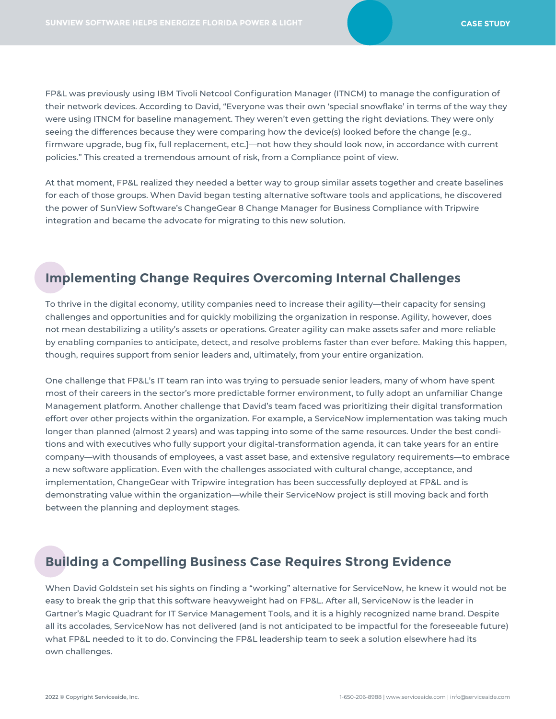FP&L was previously using IBM Tivoli Netcool Configuration Manager (ITNCM) to manage the configuration of their network devices. According to David, "Everyone was their own 'special snowflake' in terms of the way they were using ITNCM for baseline management. They weren't even getting the right deviations. They were only seeing the differences because they were comparing how the device(s) looked before the change [e.g., firmware upgrade, bug fix, full replacement, etc.]—not how they should look now, in accordance with current policies." This created a tremendous amount of risk, from a Compliance point of view.

At that moment, FP&L realized they needed a better way to group similar assets together and create baselines for each of those groups. When David began testing alternative software tools and applications, he discovered the power of SunView Software's ChangeGear 8 Change Manager for Business Compliance with Tripwire integration and became the advocate for migrating to this new solution.

#### **Implementing Change Requires Overcoming Internal Challenges**

To thrive in the digital economy, utility companies need to increase their agility—their capacity for sensing challenges and opportunities and for quickly mobilizing the organization in response. Agility, however, does not mean destabilizing a utility's assets or operations. Greater agility can make assets safer and more reliable by enabling companies to anticipate, detect, and resolve problems faster than ever before. Making this happen, though, requires support from senior leaders and, ultimately, from your entire organization.

One challenge that FP&L's IT team ran into was trying to persuade senior leaders, many of whom have spent most of their careers in the sector's more predictable former environment, to fully adopt an unfamiliar Change Management platform. Another challenge that David's team faced was prioritizing their digital transformation effort over other projects within the organization. For example, a ServiceNow implementation was taking much longer than planned (almost 2 years) and was tapping into some of the same resources. Under the best conditions and with executives who fully support your digital-transformation agenda, it can take years for an entire company—with thousands of employees, a vast asset base, and extensive regulatory requirements—to embrace a new software application. Even with the challenges associated with cultural change, acceptance, and implementation, ChangeGear with Tripwire integration has been successfully deployed at FP&L and is demonstrating value within the organization—while their ServiceNow project is still moving back and forth between the planning and deployment stages.

#### **Building a Compelling Business Case Requires Strong Evidence**

When David Goldstein set his sights on finding a "working" alternative for ServiceNow, he knew it would not be easy to break the grip that this software heavyweight had on FP&L. After all, ServiceNow is the leader in Gartner's Magic Quadrant for IT Service Management Tools, and it is a highly recognized name brand. Despite all its accolades, ServiceNow has not delivered (and is not anticipated to be impactful for the foreseeable future) what FP&L needed to it to do. Convincing the FP&L leadership team to seek a solution elsewhere had its own challenges.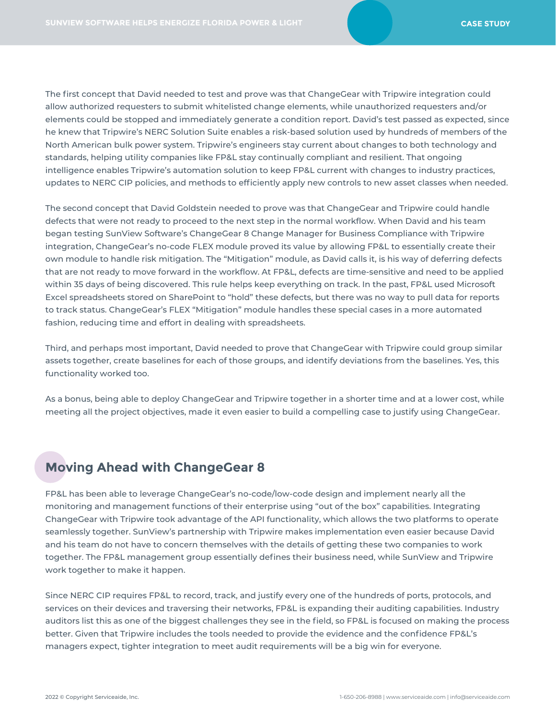The first concept that David needed to test and prove was that ChangeGear with Tripwire integration could allow authorized requesters to submit whitelisted change elements, while unauthorized requesters and/or elements could be stopped and immediately generate a condition report. David's test passed as expected, since he knew that Tripwire's NERC Solution Suite enables a risk-based solution used by hundreds of members of the North American bulk power system. Tripwire's engineers stay current about changes to both technology and standards, helping utility companies like FP&L stay continually compliant and resilient. That ongoing intelligence enables Tripwire's automation solution to keep FP&L current with changes to industry practices, updates to NERC CIP policies, and methods to efficiently apply new controls to new asset classes when needed.

The second concept that David Goldstein needed to prove was that ChangeGear and Tripwire could handle defects that were not ready to proceed to the next step in the normal workflow. When David and his team began testing SunView Software's ChangeGear 8 Change Manager for Business Compliance with Tripwire integration, ChangeGear's no-code FLEX module proved its value by allowing FP&L to essentially create their own module to handle risk mitigation. The "Mitigation" module, as David calls it, is his way of deferring defects that are not ready to move forward in the workflow. At FP&L, defects are time-sensitive and need to be applied within 35 days of being discovered. This rule helps keep everything on track. In the past, FP&L used Microsoft Excel spreadsheets stored on SharePoint to "hold" these defects, but there was no way to pull data for reports to track status. ChangeGear's FLEX "Mitigation" module handles these special cases in a more automated fashion, reducing time and effort in dealing with spreadsheets.

Third, and perhaps most important, David needed to prove that ChangeGear with Tripwire could group similar assets together, create baselines for each of those groups, and identify deviations from the baselines. Yes, this functionality worked too.

As a bonus, being able to deploy ChangeGear and Tripwire together in a shorter time and at a lower cost, while meeting all the project objectives, made it even easier to build a compelling case to justify using ChangeGear.

#### **Moving Ahead with ChangeGear 8**

FP&L has been able to leverage ChangeGear's no-code/low-code design and implement nearly all the monitoring and management functions of their enterprise using "out of the box" capabilities. Integrating ChangeGear with Tripwire took advantage of the API functionality, which allows the two platforms to operate seamlessly together. SunView's partnership with Tripwire makes implementation even easier because David and his team do not have to concern themselves with the details of getting these two companies to work together. The FP&L management group essentially defines their business need, while SunView and Tripwire work together to make it happen.

Since NERC CIP requires FP&L to record, track, and justify every one of the hundreds of ports, protocols, and services on their devices and traversing their networks, FP&L is expanding their auditing capabilities. Industry auditors list this as one of the biggest challenges they see in the field, so FP&L is focused on making the process better. Given that Tripwire includes the tools needed to provide the evidence and the confidence FP&L's managers expect, tighter integration to meet audit requirements will be a big win for everyone.